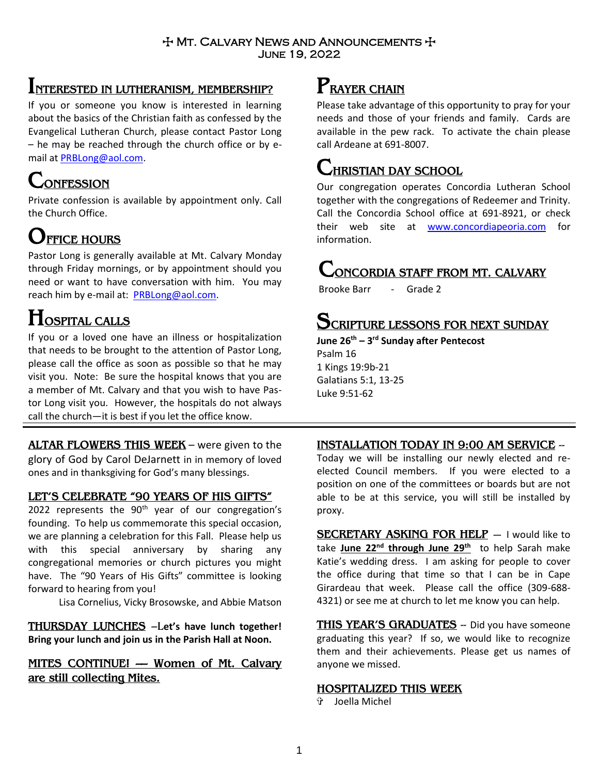### $+$  Mt. Calvary News and Announcements  $+$ June 19, 2022

## **INTERESTED IN LUTHERANISM, MEMBERSHIP?**

If you or someone you know is interested in learning about the basics of the Christian faith as confessed by the Evangelical Lutheran Church, please contact Pastor Long – he may be reached through the church office or by email at [PRBLong@aol.com.](mailto:PRBLong@aol.com)

# **CONFESSION**

Private confession is available by appointment only. Call the Church Office.

# **OFFICE HOURS**

Pastor Long is generally available at Mt. Calvary Monday through Friday mornings, or by appointment should you need or want to have conversation with him. You may reach him by e-mail at: [PRBLong@aol.com.](mailto:PRBLong@aol.com)

# **HOSPITAL CALLS**

If you or a loved one have an illness or hospitalization that needs to be brought to the attention of Pastor Long, please call the office as soon as possible so that he may visit you. Note: Be sure the hospital knows that you are a member of Mt. Calvary and that you wish to have Pastor Long visit you. However, the hospitals do not always call the church—it is best if you let the office know.

**ALTAR FLOWERS THIS WEEK** – were given to the glory of God by Carol DeJarnett in in memory of loved ones and in thanksgiving for God's many blessings.

### **LET'S CELEBRATE "90 YEARS OF HIS GIFTS"**

2022 represents the 90<sup>th</sup> year of our congregation's founding. To help us commemorate this special occasion, we are planning a celebration for this Fall. Please help us with this special anniversary by sharing any congregational memories or church pictures you might have. The "90 Years of His Gifts" committee is looking forward to hearing from you!

Lisa Cornelius, Vicky Brosowske, and Abbie Matson

**THURSDAY LUNCHES** –L**et's have lunch together! Bring your lunch and join us in the Parish Hall at Noon.** 

## **MITES CONTINUE! –– Women of Mt. Calvary are still collecting Mites.**

## **PRAYER CHAIN**

Please take advantage of this opportunity to pray for your needs and those of your friends and family. Cards are available in the pew rack. To activate the chain please call Ardeane at 691-8007.

## **CHRISTIAN DAY SCHOOL**

Our congregation operates Concordia Lutheran School together with the congregations of Redeemer and Trinity. Call the Concordia School office at 691-8921, or check their web site at [www.concordiapeoria.com](http://www.concordiapeoria.com/) for information.

# **CONCORDIA STAFF FROM MT. CALVARY**

Brooke Barr - Grade 2

## **SCRIPTURE LESSONS FOR NEXT SUNDAY**

**June 26th – 3 rd Sunday after Pentecost**

Psalm 16 1 Kings 19:9b-21 Galatians 5:1, 13-25 Luke 9:51-62

## **INSTALLATION TODAY IN 9:00 AM SERVICE** --

Today we will be installing our newly elected and reelected Council members. If you were elected to a position on one of the committees or boards but are not able to be at this service, you will still be installed by proxy.

**SECRETARY ASKING FOR HELP** — I would like to take **June 22nd through June 29th** to help Sarah make Katie's wedding dress. I am asking for people to cover the office during that time so that I can be in Cape Girardeau that week. Please call the office (309-688- 4321) or see me at church to let me know you can help.

**THIS YEAR'S GRADUATES** -- Did you have someone graduating this year? If so, we would like to recognize them and their achievements. Please get us names of anyone we missed.

### **HOSPITALIZED THIS WEEK**

Joella Michel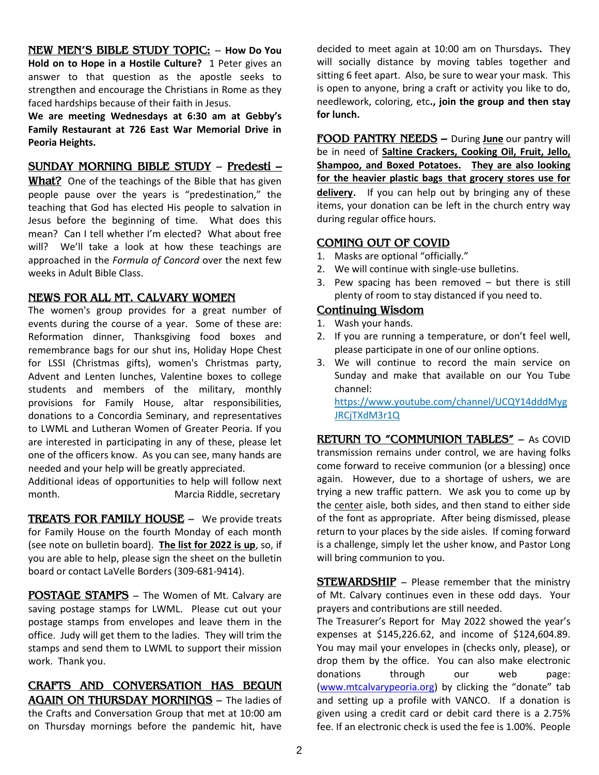**NEW MEN'S BIBLE STUDY TOPIC:** -- **How Do You Hold on to Hope in a Hostile Culture?** 1 Peter gives an answer to that question as the apostle seeks to strengthen and encourage the Christians in Rome as they faced hardships because of their faith in Jesus.

**We are meeting Wednesdays at 6:30 am at Gebby's Family Restaurant at 726 East War Memorial Drive in Peoria Heights.** 

#### **SUNDAY MORNING BIBLE STUDY** – **Predesti –**

**What?** One of the teachings of the Bible that has given people pause over the years is "predestination," the teaching that God has elected His people to salvation in Jesus before the beginning of time. What does this mean? Can I tell whether I'm elected? What about free will? We'll take a look at how these teachings are approached in the *Formula of Concord* over the next few weeks in Adult Bible Class.

#### **NEWS FOR ALL MT. CALVARY WOMEN**

The women's group provides for a great number of events during the course of a year. Some of these are: Reformation dinner, Thanksgiving food boxes and remembrance bags for our shut ins, Holiday Hope Chest for LSSI (Christmas gifts), women's Christmas party, Advent and Lenten lunches, Valentine boxes to college students and members of the military, monthly provisions for Family House, altar responsibilities, donations to a Concordia Seminary, and representatives to LWML and Lutheran Women of Greater Peoria. If you are interested in participating in any of these, please let one of the officers know. As you can see, many hands are needed and your help will be greatly appreciated.

Additional ideas of opportunities to help will follow next month. Marcia Riddle, secretary

**TREATS FOR FAMILY HOUSE** – We provide treats for Family House on the fourth Monday of each month (see note on bulletin board). **The list for 2022 is up**, so, if you are able to help, please sign the sheet on the bulletin board or contact LaVelle Borders (309-681-9414).

**POSTAGE STAMPS** – The Women of Mt. Calvary are saving postage stamps for LWML. Please cut out your postage stamps from envelopes and leave them in the office. Judy will get them to the ladies. They will trim the stamps and send them to LWML to support their mission work. Thank you.

**CRAFTS AND CONVERSATION HAS BEGUN AGAIN ON THURSDAY MORNINGS** – The ladies of the Crafts and Conversation Group that met at 10:00 am on Thursday mornings before the pandemic hit, have

decided to meet again at 10:00 am on Thursdays**.** They will socially distance by moving tables together and sitting 6 feet apart. Also, be sure to wear your mask. This is open to anyone, bring a craft or activity you like to do, needlework, coloring, etc**., join the group and then stay for lunch.** 

**FOOD PANTRY NEEDS –** During **June** our pantry will be in need of **Saltine Crackers, Cooking Oil, Fruit, Jello, Shampoo, and Boxed Potatoes. They are also looking for the heavier plastic bags that grocery stores use for delivery**. If you can help out by bringing any of these items, your donation can be left in the church entry way during regular office hours.

#### **COMING OUT OF COVID**

- 1. Masks are optional "officially."
- 2. We will continue with single-use bulletins.
- 3. Pew spacing has been removed but there is still plenty of room to stay distanced if you need to.

#### **Continuing Wisdom**

- 1. Wash your hands.
- 2. If you are running a temperature, or don't feel well, please participate in one of our online options.
- 3. We will continue to record the main service on Sunday and make that available on our You Tube channel:

[https://www.youtube.com/channel/UCQY14dddMyg](https://www.youtube.com/channel/UCQY14dddMygJRCjTXdM3r1Q) [JRCjTXdM3r1Q](https://www.youtube.com/channel/UCQY14dddMygJRCjTXdM3r1Q)

**RETURN TO "COMMUNION TABLES"** – As COVID transmission remains under control, we are having folks come forward to receive communion (or a blessing) once again. However, due to a shortage of ushers, we are trying a new traffic pattern. We ask you to come up by the center aisle, both sides, and then stand to either side of the font as appropriate. After being dismissed, please return to your places by the side aisles. If coming forward is a challenge, simply let the usher know, and Pastor Long will bring communion to you.

**STEWARDSHIP** - Please remember that the ministry of Mt. Calvary continues even in these odd days. Your prayers and contributions are still needed.

The Treasurer's Report for May 2022 showed the year's expenses at \$145,226.62, and income of \$124,604.89. You may mail your envelopes in (checks only, please), or drop them by the office. You can also make electronic donations through our web page: [\(www.mtcalvarypeoria.org](http://www.mtcalvarypeoria.org/)) by clicking the "donate" tab and setting up a profile with VANCO. If a donation is given using a credit card or debit card there is a 2.75% fee. If an electronic check is used the fee is 1.00%. People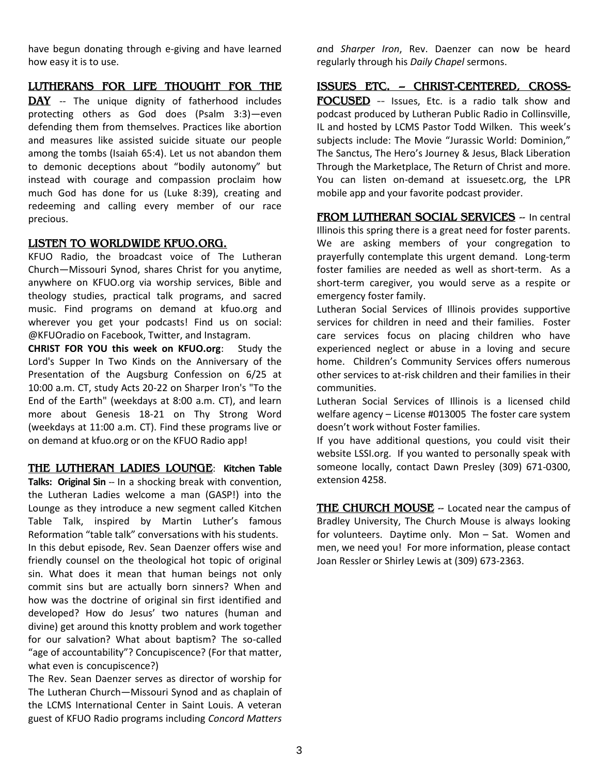have begun donating through e-giving and have learned how easy it is to use.

#### **LUTHERANS FOR LIFE THOUGHT FOR THE**

DAY -- The unique dignity of fatherhood includes protecting others as God does (Psalm 3:3)—even defending them from themselves. Practices like abortion and measures like assisted suicide situate our people among the tombs (Isaiah 65:4). Let us not abandon them to demonic deceptions about "bodily autonomy" but instead with courage and compassion proclaim how much God has done for us (Luke 8:39), creating and redeeming and calling every member of our race precious.

#### **LISTEN TO WORLDWIDE KFUO.ORG.**

KFUO Radio, the broadcast voice of The Lutheran Church—Missouri Synod, shares Christ for you anytime, anywhere on KFUO.org via worship services, Bible and theology studies, practical talk programs, and sacred music. Find programs on demand at [kfuo.org](https://kfuo.us19.list-manage.com/track/click?u=54af661ed49340a315983cb13&id=23f436d69c&e=9f5cc2cb8c) and wherever you get your podcasts! Find us **on** social: @KFUOradio on [Facebook,](https://kfuo.us19.list-manage.com/track/click?u=54af661ed49340a315983cb13&id=a1af9c142f&e=9f5cc2cb8c) [Twitter,](https://kfuo.us19.list-manage.com/track/click?u=54af661ed49340a315983cb13&id=da6b9900e0&e=9f5cc2cb8c) and [Instagram.](https://kfuo.us19.list-manage.com/track/click?u=54af661ed49340a315983cb13&id=baa10b7b13&e=9f5cc2cb8c)

**CHRIST FOR YOU this week on KFUO.org**: Study the Lord's Supper In Two Kinds on the Anniversary of the Presentation of the Augsburg Confession on 6/25 at 10:00 a.m. CT, study Acts 20-22 on Sharper Iron's "To the End of the Earth" (weekdays at 8:00 a.m. CT), and learn more about Genesis 18-21 on Thy Strong Word (weekdays at 11:00 a.m. CT). Find these programs live or on demand at kfuo.org or on the KFUO Radio app!

**THE LUTHERAN LADIES LOUNGE**: **Kitchen Table Talks: Original Sin** -- In a shocking break with convention, the Lutheran Ladies welcome a man (GASP!) into the Lounge as they introduce a new segment called Kitchen Table Talk, inspired by Martin Luther's famous Reformation "table talk" conversations with his students.

In this debut episode, Rev. Sean Daenzer offers wise and friendly counsel on the theological hot topic of original sin. What does it mean that human beings not only commit sins but are actually born sinners? When and how was the doctrine of original sin first identified and developed? How do Jesus' two natures (human and divine) get around this knotty problem and work together for our salvation? What about baptism? The so-called "age of accountability"? Concupiscence? (For that matter, what even is concupiscence?)

The Rev. Sean Daenzer serves as director of worship for The Lutheran Church—Missouri Synod and as chaplain of the LCMS International Center in Saint Louis. A veteran guest of KFUO Radio programs including *[Concord Matters](https://www.kfuo.org/category/concord-matters/)*

*a*nd *[Sharper Iron](https://www.kfuo.org/category/sharper-iron/)*, Rev. Daenzer can now be heard regularly through his *[Daily Chapel](https://www.kfuo.org/category/daily-chapel/)* sermons.

#### **ISSUES ETC. -- CHRIST-CENTERED, CROSS-**

**FOCUSED** -- Issues, Etc. is a radio talk show and podcast produced by Lutheran Public Radio in Collinsville, IL and hosted by LCMS Pastor Todd Wilken. This week's subjects include: The Movie "Jurassic World: Dominion," The Sanctus, The Hero's Journey & Jesus, Black Liberation Through the Marketplace, The Return of Christ and more. You can listen on-demand at issuesetc.org, the LPR mobile app and your favorite podcast provider.

**FROM LUTHERAN SOCIAL SERVICES** -- In central Illinois this spring there is a great need for foster parents. We are asking members of your congregation to prayerfully contemplate this urgent demand. Long-term foster families are needed as well as short-term. As a short-term caregiver, you would serve as a respite or emergency foster family.

Lutheran Social Services of Illinois provides supportive services for children in need and their families. Foster care services focus on placing children who have experienced neglect or abuse in a loving and secure home. Children's Community Services offers numerous other services to at-risk children and their families in their communities.

Lutheran Social Services of Illinois is a licensed child welfare agency – License #013005 The foster care system doesn't work without Foster families.

If you have additional questions, you could visit their website LSSI.org. If you wanted to personally speak with someone locally, contact Dawn Presley (309) 671-0300, extension 4258.

**THE CHURCH MOUSE** -- Located near the campus of Bradley University, The Church Mouse is always looking for volunteers. Daytime only. Mon – Sat. Women and men, we need you! For more information, please contact Joan Ressler or Shirley Lewis at (309) 673-2363.